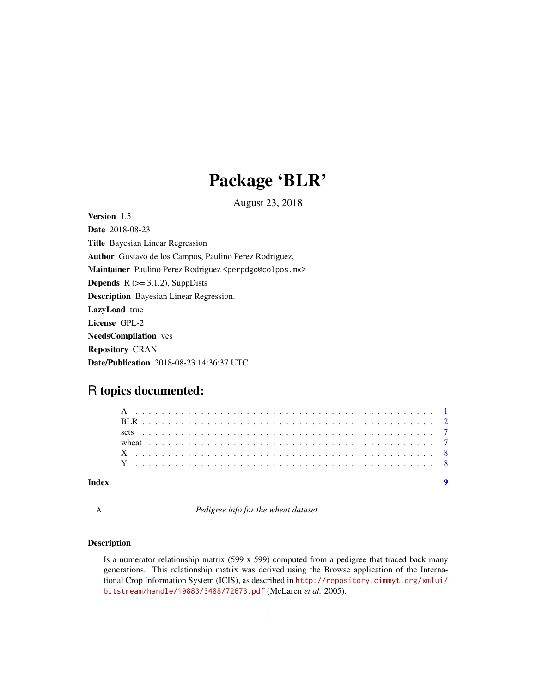## Package 'BLR'

August 23, 2018

<span id="page-0-0"></span>Version 1.5 Date 2018-08-23 Title Bayesian Linear Regression Author Gustavo de los Campos, Paulino Perez Rodriguez, Maintainer Paulino Perez Rodriguez <perpdgo@colpos.mx> **Depends**  $R$  ( $>= 3.1.2$ ), SuppDists Description Bayesian Linear Regression. LazyLoad true License GPL-2 NeedsCompilation yes Repository CRAN Date/Publication 2018-08-23 14:36:37 UTC

### R topics documented:

A *Pedigree info for the wheat dataset*

#### Description

Is a numerator relationship matrix (599 x 599) computed from a pedigree that traced back many generations. This relationship matrix was derived using the Browse application of the International Crop Information System (ICIS), as described in [http://repository.cimmyt.org/xmlui/](http://repository.cimmyt.org/xmlui/bitstream/handle/10883/3488/72673.pdf) [bitstream/handle/10883/3488/72673.pdf](http://repository.cimmyt.org/xmlui/bitstream/handle/10883/3488/72673.pdf) (McLaren *et al.* 2005).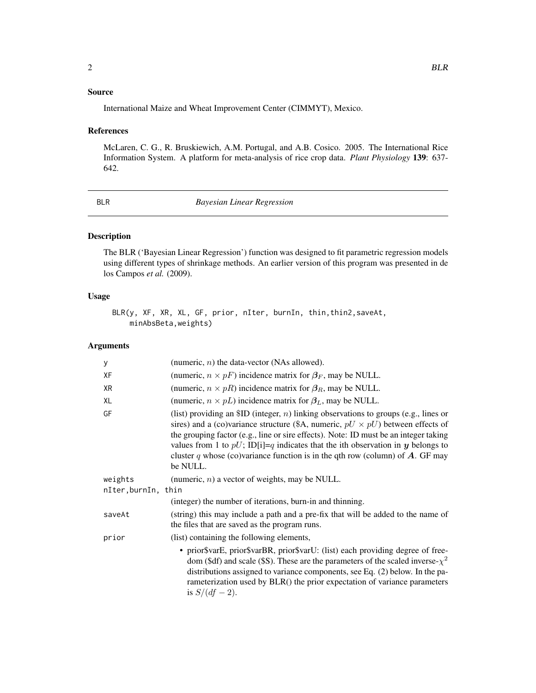#### <span id="page-1-0"></span>Source

International Maize and Wheat Improvement Center (CIMMYT), Mexico.

#### References

McLaren, C. G., R. Bruskiewich, A.M. Portugal, and A.B. Cosico. 2005. The International Rice Information System. A platform for meta-analysis of rice crop data. *Plant Physiology* 139: 637- 642.

BLR *Bayesian Linear Regression*

#### Description

The BLR ('Bayesian Linear Regression') function was designed to fit parametric regression models using different types of shrinkage methods. An earlier version of this program was presented in de los Campos *et al.* (2009).

#### Usage

BLR(y, XF, XR, XL, GF, prior, nIter, burnIn, thin,thin2,saveAt, minAbsBeta,weights)

#### Arguments

| у                   | (numeric, $n$ ) the data-vector (NAs allowed).                                                                                                                                                                                                                                                                                                                                                                                                               |
|---------------------|--------------------------------------------------------------------------------------------------------------------------------------------------------------------------------------------------------------------------------------------------------------------------------------------------------------------------------------------------------------------------------------------------------------------------------------------------------------|
| XF                  | (numeric, $n \times pF$ ) incidence matrix for $\beta_F$ , may be NULL.                                                                                                                                                                                                                                                                                                                                                                                      |
| XR                  | (numeric, $n \times pR$ ) incidence matrix for $\beta_R$ , may be NULL.                                                                                                                                                                                                                                                                                                                                                                                      |
| XL                  | (numeric, $n \times pL$ ) incidence matrix for $\beta_L$ , may be NULL.                                                                                                                                                                                                                                                                                                                                                                                      |
| GF                  | (list) providing an $ID$ (integer, n) linking observations to groups (e.g., lines or<br>sires) and a (co)variance structure (\$A, numeric, $pU \times pU$ ) between effects of<br>the grouping factor (e.g., line or sire effects). Note: ID must be an integer taking<br>values from 1 to $pU$ ; ID[i]=q indicates that the ith observation in y belongs to<br>cluster q whose (co)variance function is in the qth row (column) of $A$ . GF may<br>be NULL. |
| weights             | (numeric, $n$ ) a vector of weights, may be NULL.                                                                                                                                                                                                                                                                                                                                                                                                            |
| nIter, burnIn, thin |                                                                                                                                                                                                                                                                                                                                                                                                                                                              |
|                     | (integer) the number of iterations, burn-in and thinning.                                                                                                                                                                                                                                                                                                                                                                                                    |
| saveAt              | (string) this may include a path and a pre-fix that will be added to the name of<br>the files that are saved as the program runs.                                                                                                                                                                                                                                                                                                                            |
| prior               | (list) containing the following elements,                                                                                                                                                                                                                                                                                                                                                                                                                    |
|                     | • prior\$varE, prior\$varBR, prior\$varU: (list) each providing degree of free-<br>dom (\$df) and scale (\$S). These are the parameters of the scaled inverse- $\chi^2$<br>distributions assigned to variance components, see Eq. (2) below. In the pa-<br>rameterization used by BLR() the prior expectation of variance parameters<br>is $S/(df - 2)$ .                                                                                                    |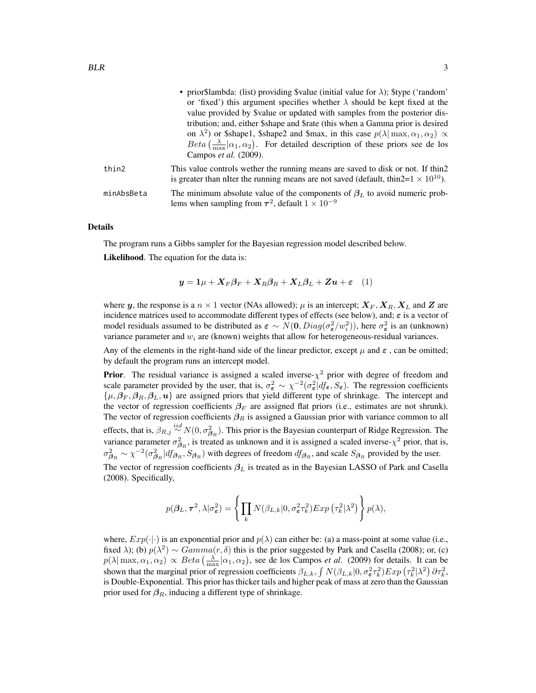|            | • prior\$lambda: (list) providing \$value (initial value for $\lambda$ ); \$type ('random'                                                                                       |
|------------|----------------------------------------------------------------------------------------------------------------------------------------------------------------------------------|
|            | or 'fixed') this argument specifies whether $\lambda$ should be kept fixed at the                                                                                                |
|            | value provided by \$value or updated with samples from the posterior dis-                                                                                                        |
|            | tribution; and, either \$shape and \$rate (this when a Gamma prior is desired                                                                                                    |
|            | on $\lambda^2$ ) or \$shape1, \$shape2 and \$max, in this case $p(\lambda   \max, \alpha_1, \alpha_2) \propto$                                                                   |
|            | $Beta\left(\frac{\lambda}{\max} \alpha_1,\alpha_2\right)$ . For detailed description of these priors see de los<br>Campos <i>et al.</i> (2009).                                  |
| thin2      | This value controls wether the running means are saved to disk or not. If thin 2<br>is greater than nIter the running means are not saved (default, thin2= $1 \times 10^{10}$ ). |
| minAbsBeta | The minimum absolute value of the components of $\beta_L$ to avoid numeric prob-<br>lems when sampling from $\tau^2$ , default $1 \times 10^{-9}$                                |

#### Details

The program runs a Gibbs sampler for the Bayesian regression model described below.

Likelihood. The equation for the data is:

$$
\mathbf{y} = \mathbf{1}\mu + \mathbf{X}_F \boldsymbol{\beta}_F + \mathbf{X}_R \boldsymbol{\beta}_R + \mathbf{X}_L \boldsymbol{\beta}_L + \mathbf{Z} \mathbf{u} + \boldsymbol{\varepsilon} \quad (1)
$$

where y, the response is a  $n \times 1$  vector (NAs allowed);  $\mu$  is an intercept;  $X_F, X_R, X_L$  and Z are incidence matrices used to accommodate different types of effects (see below), and;  $\varepsilon$  is a vector of model residuals assumed to be distributed as  $\varepsilon \sim N(0, Diag(\sigma_{\varepsilon}^2/w_i^2))$ , here  $\sigma_{\varepsilon}^2$  is an (unknown) variance parameter and  $w_i$  are (known) weights that allow for heterogeneous-residual variances.

Any of the elements in the right-hand side of the linear predictor, except  $\mu$  and  $\varepsilon$ , can be omitted; by default the program runs an intercept model.

**Prior.** The residual variance is assigned a scaled inverse- $\chi^2$  prior with degree of freedom and scale parameter provided by the user, that is,  $\sigma_{\epsilon}^2 \sim \chi^{-2}(\sigma_{\epsilon}^2 | df_{\epsilon}, S_{\epsilon})$ . The regression coefficients  $\{\mu, \beta_F, \beta_R, \beta_L, u\}$  are assigned priors that yield different type of shrinkage. The intercept and the vector of regression coefficients  $\beta_F$  are assigned flat priors (i.e., estimates are not shrunk). The vector of regression coefficients  $\beta_R$  is assigned a Gaussian prior with variance common to all effects, that is,  $\beta_{R,j} \stackrel{iid}{\sim} N(0, \sigma_{\beta_R}^2)$ . This prior is the Bayesian counterpart of Ridge Regression. The variance parameter  $\sigma_{\beta_R}^2$ , is treated as unknown and it is assigned a scaled inverse- $\chi^2$  prior, that is,  $\sigma_{\beta_R}^2 \sim \chi^{-2}(\sigma_{\beta_R}^2 | df_{\beta_R}, S_{\beta_R})$  with degrees of freedom  $df_{\beta_R}$ , and scale  $S_{\beta_R}$  provided by the user. The vector of regression coefficients  $\beta_L$  is treated as in the Bayesian LASSO of Park and Casella

(2008). Specifically,

$$
p(\boldsymbol{\beta}_L, \boldsymbol{\tau}^2, \lambda | \sigma_{\boldsymbol{\varepsilon}}^2) = \left\{ \prod_k N(\beta_{L,k} | 0, \sigma_{\boldsymbol{\varepsilon}}^2 \tau_k^2) Exp\left(\tau_k^2 | \lambda^2\right) \right\} p(\lambda),
$$

where,  $Exp(\cdot|\cdot)$  is an exponential prior and  $p(\lambda)$  can either be: (a) a mass-point at some value (i.e., fixed  $\lambda$ ); (b)  $p(\lambda^2) \sim Gamma(r, \delta)$  this is the prior suggested by Park and Casella (2008); or, (c)  $p(\lambda | \max, \alpha_1, \alpha_2) \propto Beta\left(\frac{\lambda}{\max} | \alpha_1, \alpha_2\right)$ , see de los Campos *et al.* (2009) for details. It can be shown that the marginal prior of regression coefficients  $\beta_{L,k}$ ,  $\int N(\beta_{L,k}|0, \sigma_{\epsilon}^2 \tau_k^2) Exp(\tau_k^2|\lambda^2) \partial \tau_k^2$ , is Double-Exponential. This prior has thicker tails and higher peak of mass at zero than the Gaussian prior used for  $\beta_R$ , inducing a different type of shrinkage.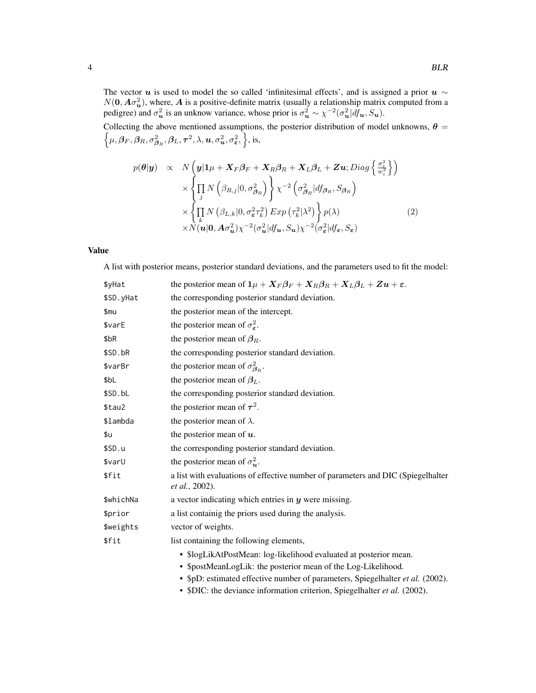The vector u is used to model the so called 'infinitesimal effects', and is assigned a prior  $u \sim$  $N(\mathbf{0}, \mathbf{A}\sigma_{\mathbf{u}}^2)$ , where,  $\mathbf{A}$  is a positive-definite matrix (usually a relationship matrix computed from a pedigree) and  $\sigma_u^2$  is an unknow variance, whose prior is  $\sigma_u^2 \sim \chi^{-2}(\sigma_u^2 | df_u, S_u)$ . Collecting the above mentioned assumptions, the posterior distribution of model unknowns, n  $\theta =$  $\mu, \bm{\beta}_F, \bm{\beta}_R, \sigma^2_{\bm{\beta}_R}, \bm{\beta}_L, \bm{\tau}^2, \lambda, \bm{u}, \sigma^2_{\bm{u}}, \sigma^2_{\bm{\varepsilon}}, \Big\}, \text{is},$ 

$$
p(\theta|\mathbf{y}) \propto N\left(\mathbf{y}|\mathbf{1}\mu + \mathbf{X}_{F}\beta_{F} + \mathbf{X}_{R}\beta_{R} + \mathbf{X}_{L}\beta_{L} + \mathbf{Z}\mathbf{u}; Diag\left\{\frac{\sigma_{\varepsilon}^{2}}{w_{i}^{2}}\right\}\right) \times \left\{\prod_{j} N\left(\beta_{R,j}|0,\sigma_{\beta_{R}}^{2}\right)\right\}\chi^{-2}\left(\sigma_{\beta_{R}}^{2}|df_{\beta_{R}},S_{\beta_{R}}\right) \times \left\{\prod_{k} N\left(\beta_{L,k}|0,\sigma_{\varepsilon}^{2}\tau_{k}^{2}\right) \exp\left(\tau_{k}^{2}|\lambda^{2}\right)\right\} p(\lambda) \times N(\mathbf{u}|\mathbf{0},A\sigma_{\mathbf{u}}^{2})\chi^{-2}(\sigma_{\mathbf{u}}^{2}|df_{\mathbf{u}},S_{\mathbf{u}})\chi^{-2}(\sigma_{\varepsilon}^{2}|df_{\varepsilon},S_{\varepsilon})
$$
\n(2)

#### Value

A list with posterior means, posterior standard deviations, and the parameters used to fit the model:

| \$yHat    | the posterior mean of $1\mu + X_F\beta_F + X_R\beta_R + X_L\beta_L + Zu + \varepsilon$ .                                                                                                                             |
|-----------|----------------------------------------------------------------------------------------------------------------------------------------------------------------------------------------------------------------------|
| \$SD.yHat | the corresponding posterior standard deviation.                                                                                                                                                                      |
| \$mu      | the posterior mean of the intercept.                                                                                                                                                                                 |
| \$varE    | the posterior mean of $\sigma_{\epsilon}^2$ .                                                                                                                                                                        |
| \$bR      | the posterior mean of $\beta_R$ .                                                                                                                                                                                    |
| \$SD.bR   | the corresponding posterior standard deviation.                                                                                                                                                                      |
| \$varBr   | the posterior mean of $\sigma_{\beta_R}^2$ .                                                                                                                                                                         |
| \$bL      | the posterior mean of $\beta_L$ .                                                                                                                                                                                    |
| \$SD.bL   | the corresponding posterior standard deviation.                                                                                                                                                                      |
| \$tau2    | the posterior mean of $\tau^2$ .                                                                                                                                                                                     |
| \$lambda  | the posterior mean of $\lambda$ .                                                                                                                                                                                    |
| \$u       | the posterior mean of $u$ .                                                                                                                                                                                          |
| \$SD.u    | the corresponding posterior standard deviation.                                                                                                                                                                      |
| \$varU    | the posterior mean of $\sigma_u^2$ .                                                                                                                                                                                 |
| \$fit     | a list with evaluations of effective number of parameters and DIC (Spiegelhalter<br>et al., 2002).                                                                                                                   |
| \$whichNa | a vector indicating which entries in $y$ were missing.                                                                                                                                                               |
| \$prior   | a list containig the priors used during the analysis.                                                                                                                                                                |
| \$weights | vector of weights.                                                                                                                                                                                                   |
| \$fit     | list containing the following elements,                                                                                                                                                                              |
|           | • \$logLikAtPostMean: log-likelihood evaluated at posterior mean.<br>• \$postMeanLogLik: the posterior mean of the Log-Likelihood.<br>• \$pD: estimated effective number of parameters, Spiegelhalter et al. (2002). |
|           | • \$DIC: the deviance information criterion, Spiegelhalter et al. (2002).                                                                                                                                            |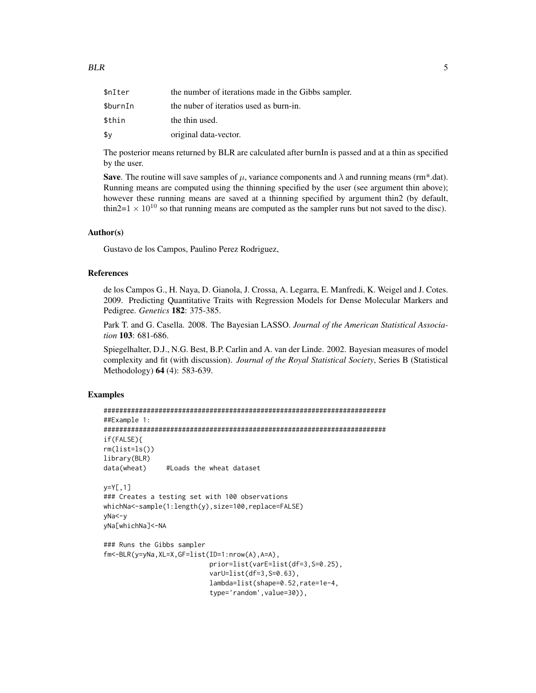| \$nIter  | the number of iterations made in the Gibbs sampler. |
|----------|-----------------------------------------------------|
| \$burnIn | the nuber of iteratios used as burn-in.             |
| \$thin   | the thin used.                                      |
| \$у      | original data-vector.                               |

The posterior means returned by BLR are calculated after burnIn is passed and at a thin as specified by the user.

**Save**. The routine will save samples of  $\mu$ , variance components and  $\lambda$  and running means (rm\*.dat). Running means are computed using the thinning specified by the user (see argument thin above); however these running means are saved at a thinning specified by argument thin2 (by default, thin2=1  $\times$  10<sup>10</sup> so that running means are computed as the sampler runs but not saved to the disc).

#### Author(s)

Gustavo de los Campos, Paulino Perez Rodriguez,

#### References

de los Campos G., H. Naya, D. Gianola, J. Crossa, A. Legarra, E. Manfredi, K. Weigel and J. Cotes. 2009. Predicting Quantitative Traits with Regression Models for Dense Molecular Markers and Pedigree. *Genetics* 182: 375-385.

Park T. and G. Casella. 2008. The Bayesian LASSO. *Journal of the American Statistical Association* 103: 681-686.

Spiegelhalter, D.J., N.G. Best, B.P. Carlin and A. van der Linde. 2002. Bayesian measures of model complexity and fit (with discussion). *Journal of the Royal Statistical Society*, Series B (Statistical Methodology) 64 (4): 583-639.

#### Examples

```
########################################################################
##Example 1:
########################################################################
if(FALSE){
rm(list=ls())
library(BLR)
data(wheat) #Loads the wheat dataset
y=Y[,1]
### Creates a testing set with 100 observations
whichNa<-sample(1:length(y),size=100,replace=FALSE)
yNa<-y
yNa[whichNa]<-NA
### Runs the Gibbs sampler
fm<-BLR(y=yNa,XL=X,GF=list(ID=1:nrow(A),A=A),
                           prior=list(varE=list(df=3,S=0.25),
                           varU=list(df=3, S=0.63),
                           lambda=list(shape=0.52,rate=1e-4,
                           type='random',value=30)),
```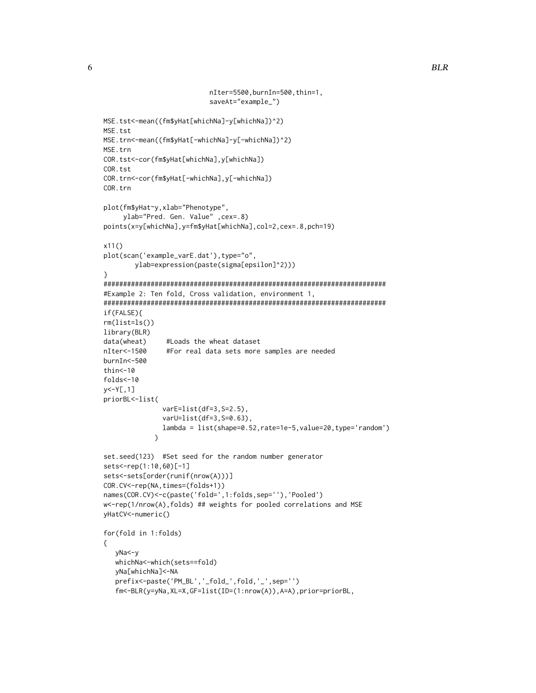```
nIter=5500,burnIn=500,thin=1,
                           saveAt="example_")
MSE.tst<-mean((fm$yHat[whichNa]-y[whichNa])^2)
MSE.tst
MSE.trn<-mean((fm$yHat[-whichNa]-y[-whichNa])^2)
MSE.trn
COR.tst<-cor(fm$yHat[whichNa],y[whichNa])
COR.tst
COR.trn<-cor(fm$yHat[-whichNa],y[-whichNa])
COR.trn
plot(fm$yHat~y,xlab="Phenotype",
     ylab="Pred. Gen. Value" ,cex=.8)
points(x=y[whichNa],y=fm$yHat[whichNa],col=2,cex=.8,pch=19)
x11()
plot(scan('example_varE.dat'), type="o",
        ylab=expression(paste(sigma[epsilon]^2)))
}
########################################################################
#Example 2: Ten fold, Cross validation, environment 1,
########################################################################
if(FALSE){
rm(list=ls())
library(BLR)
data(wheat) #Loads the wheat dataset
nIter<-1500 #For real data sets more samples are needed
burnIn<-500
thin < -10folds<-10
y<-Y[,1]
priorBL<-list(
               varE=list(df=3,S=2.5),
               varU=list(df=3,S=0.63),
               lambda = list(shape=0.52,rate=1e-5,value=20,type='random')
             \lambdaset.seed(123) #Set seed for the random number generator
sets<-rep(1:10,60)[-1]
sets<-sets[order(runif(nrow(A)))]
COR.CV<-rep(NA,times=(folds+1))
names(COR.CV)<-c(paste('fold=',1:folds,sep=''),'Pooled')
w<-rep(1/nrow(A),folds) ## weights for pooled correlations and MSE
yHatCV<-numeric()
for(fold in 1:folds)
{
   yNa<-y
   whichNa<-which(sets==fold)
   yNa[whichNa]<-NA
   prefix<-paste('PM_BL','_fold_',fold,'_',sep='')
   fm<-BLR(y=yNa,XL=X,GF=list(ID=(1:nrow(A)),A=A),prior=priorBL,
```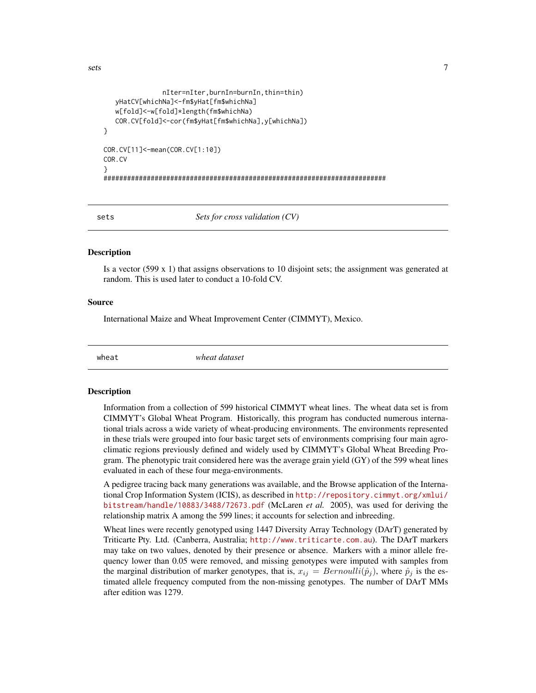```
nIter=nIter,burnIn=burnIn,thin=thin)
  yHatCV[whichNa]<-fm$yHat[fm$whichNa]
  w[fold]<-w[fold]*length(fm$whichNa)
  COR.CV[fold]<-cor(fm$yHat[fm$whichNa],y[whichNa])
}
COR.CV[11]<-mean(COR.CV[1:10])
COR.CV
}
########################################################################
```
sets *Sets for cross validation (CV)*

#### **Description**

Is a vector (599 x 1) that assigns observations to 10 disjoint sets; the assignment was generated at random. This is used later to conduct a 10-fold CV.

#### Source

International Maize and Wheat Improvement Center (CIMMYT), Mexico.

wheat *wheat dataset*

#### Description

Information from a collection of 599 historical CIMMYT wheat lines. The wheat data set is from CIMMYT's Global Wheat Program. Historically, this program has conducted numerous international trials across a wide variety of wheat-producing environments. The environments represented in these trials were grouped into four basic target sets of environments comprising four main agroclimatic regions previously defined and widely used by CIMMYT's Global Wheat Breeding Program. The phenotypic trait considered here was the average grain yield (GY) of the 599 wheat lines evaluated in each of these four mega-environments.

A pedigree tracing back many generations was available, and the Browse application of the International Crop Information System (ICIS), as described in [http://repository.cimmyt.org/xmlui/](http://repository.cimmyt.org/xmlui/bitstream/handle/10883/3488/72673.pdf) [bitstream/handle/10883/3488/72673.pdf](http://repository.cimmyt.org/xmlui/bitstream/handle/10883/3488/72673.pdf) (McLaren *et al.* 2005), was used for deriving the relationship matrix A among the 599 lines; it accounts for selection and inbreeding.

Wheat lines were recently genotyped using 1447 Diversity Array Technology (DArT) generated by Triticarte Pty. Ltd. (Canberra, Australia; <http://www.triticarte.com.au>). The DArT markers may take on two values, denoted by their presence or absence. Markers with a minor allele frequency lower than 0.05 were removed, and missing genotypes were imputed with samples from the marginal distribution of marker genotypes, that is,  $x_{ij} = Bernoulli(\hat{p}_j)$ , where  $\hat{p}_j$  is the estimated allele frequency computed from the non-missing genotypes. The number of DArT MMs after edition was 1279.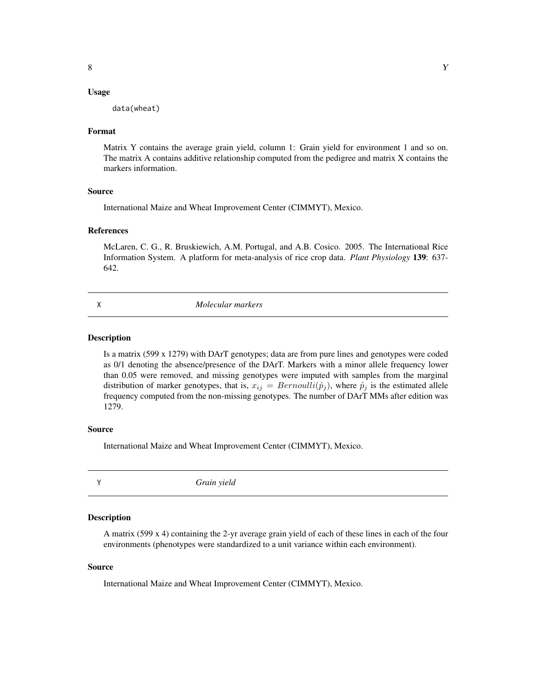#### <span id="page-7-0"></span>Usage

data(wheat)

#### Format

Matrix Y contains the average grain yield, column 1: Grain yield for environment 1 and so on. The matrix A contains additive relationship computed from the pedigree and matrix X contains the markers information.

#### Source

International Maize and Wheat Improvement Center (CIMMYT), Mexico.

#### References

McLaren, C. G., R. Bruskiewich, A.M. Portugal, and A.B. Cosico. 2005. The International Rice Information System. A platform for meta-analysis of rice crop data. *Plant Physiology* 139: 637- 642.

X *Molecular markers*

#### Description

Is a matrix (599 x 1279) with DArT genotypes; data are from pure lines and genotypes were coded as 0/1 denoting the absence/presence of the DArT. Markers with a minor allele frequency lower than 0.05 were removed, and missing genotypes were imputed with samples from the marginal distribution of marker genotypes, that is,  $x_{ij} = Bernoulli(\hat{p}_j)$ , where  $\hat{p}_j$  is the estimated allele frequency computed from the non-missing genotypes. The number of DArT MMs after edition was 1279.

#### Source

International Maize and Wheat Improvement Center (CIMMYT), Mexico.

Y *Grain yield*

#### Description

A matrix (599 x 4) containing the 2-yr average grain yield of each of these lines in each of the four environments (phenotypes were standardized to a unit variance within each environment).

#### Source

International Maize and Wheat Improvement Center (CIMMYT), Mexico.